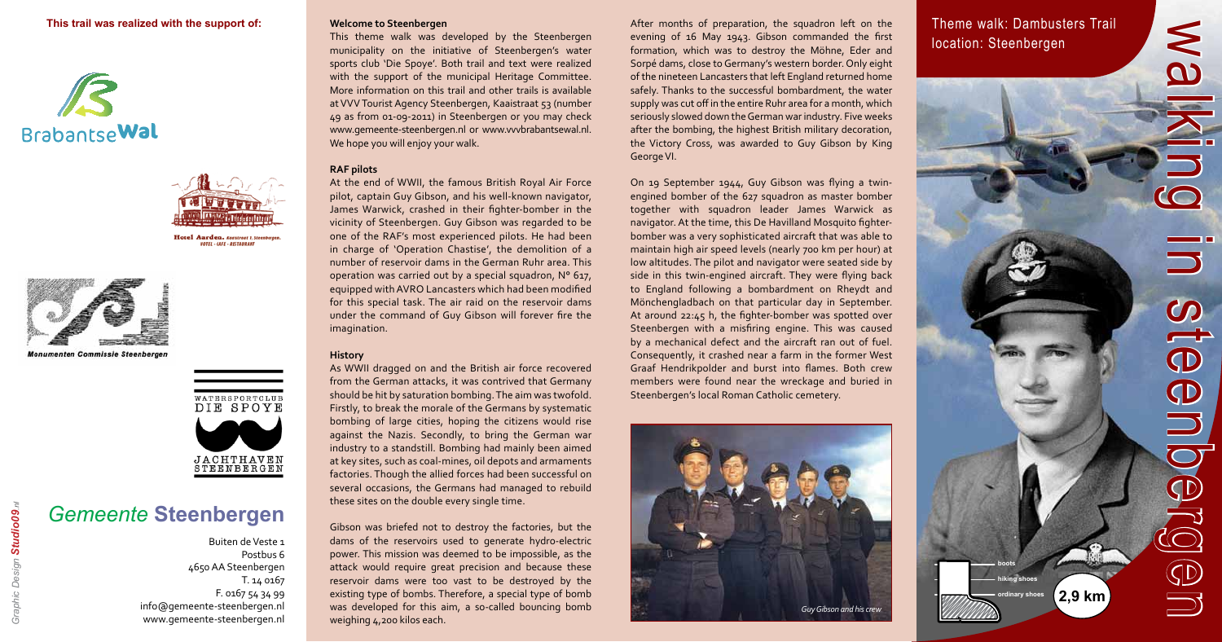

walking in steenbergen

 $\overline{\overline{\mathbb{O}}}$ 

 $\bigoplus$ 

 $\bigcirc$ 

C

 $\lessapprox$ 

**hiking shoes boots**

## Theme walk: Dambusters Trail location: Steenbergen

### **This trail was realized with the support of:**







**Monumenten Commissie Steenbergen** 



# *Gemeente* **Steenbergen**

Buiten de Veste 1 Postbus 6 4650 AA Steenbergen T. 14 0167 F. 0167 54 34 99 info@gemeente-steenbergen.nl www.gemeente-steenbergen.nl

#### **Welcome to Steenbergen**

This theme walk was developed by the Steenbergen municipality on the initiative of Steenbergen's water sports club 'Die Spoye'. Both trail and text were realized with the support of the municipal Heritage Committee. More information on this trail and other trails is available at VVV Tourist Agency Steenbergen, Kaaistraat 53 (number 49 as from 01-09-2011) in Steenbergen or you may check www.gemeente-steenbergen.nl or www.vvvbrabantsewal.nl. We hope you will enjoy your walk.

#### **RAF pilots**

At the end of WWII, the famous British Royal Air Force pilot, captain Guy Gibson, and his well-known navigator, James Warwick, crashed in their fighter-bomber in the vicinity of Steenbergen. Guy Gibson was regarded to be one of the RAF's most experienced pilots. He had been in charge of 'Operation Chastise', the demolition of a number of reservoir dams in the German Ruhr area. This operation was carried out by a special squadron, N° 617, equipped with AVRO Lancasters which had been modified for this special task. The air raid on the reservoir dams under the command of Guy Gibson will forever fire the imagination.

#### **History**

As WWII dragged on and the British air force recovered from the German attacks, it was contrived that Germany should be hit by saturation bombing. The aim was twofold. Firstly, to break the morale of the Germans by systematic bombing of large cities, hoping the citizens would rise against the Nazis. Secondly, to bring the German war industry to a standstill. Bombing had mainly been aimed at key sites, such as coal-mines, oil depots and armaments factories. Though the allied forces had been successful on several occasions, the Germans had managed to rebuild these sites on the double every single time.

Gibson was briefed not to destroy the factories, but the dams of the reservoirs used to generate hydro-electric power. This mission was deemed to be impossible, as the attack would require great precision and because these reservoir dams were too vast to be destroyed by the existing type of bombs. Therefore, a special type of bomb was developed for this aim, a so-called bouncing bomb weighing 4,200 kilos each.

After months of preparation, the squadron left on the evening of 16 May 1943. Gibson commanded the first formation, which was to destroy the Möhne, Eder and Sorpé dams, close to Germany's western border. Only eight of the nineteen Lancasters that left England returned home safely. Thanks to the successful bombardment, the water supply was cut off in the entire Ruhr area for a month, which seriously slowed down the German war industry. Five weeks after the bombing, the highest British military decoration, the Victory Cross, was awarded to Guy Gibson by King George VI.

On 19 September 1944, Guy Gibson was flying a twinengined bomber of the 627 squadron as master bomber together with squadron leader James Warwick as navigator. At the time, this De Havilland Mosquito fighterbomber was a very sophisticated aircraft that was able to maintain high air speed levels (nearly 700 km per hour) at low altitudes. The pilot and navigator were seated side by side in this twin-engined aircraft. They were flying back to England following a bombardment on Rheydt and Mönchengladbach on that particular day in September. At around 22:45 h, the fighter-bomber was spotted over Steenbergen with a misfiring engine. This was caused by a mechanical defect and the aircraft ran out of fuel. Consequently, it crashed near a farm in the former West Graaf Hendrikpolder and burst into flames. Both crew members were found near the wreckage and buried in Steenbergen's local Roman Catholic cemetery.